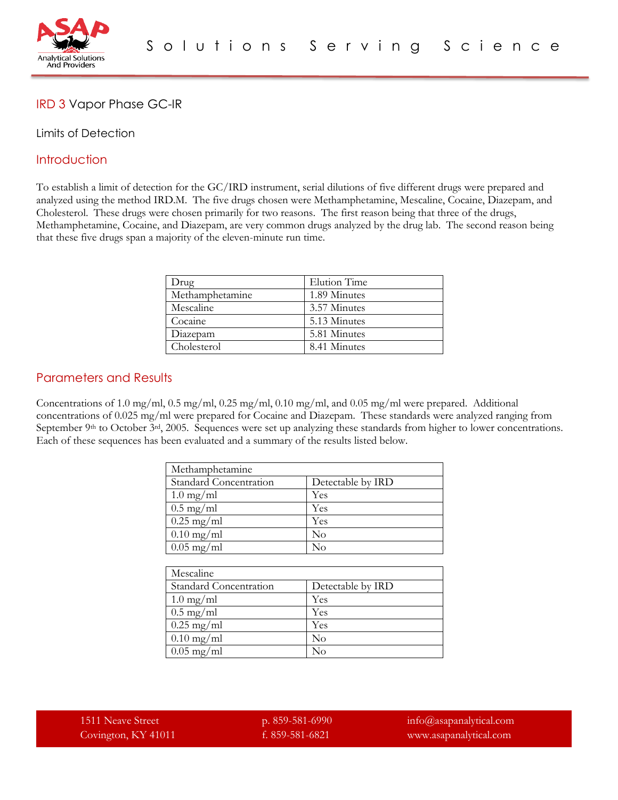

## IRD 3 Vapor Phase GC-IR

#### Limits of Detection

### **Introduction**

To establish a limit of detection for the GC/IRD instrument, serial dilutions of five different drugs were prepared and analyzed using the method IRD.M. The five drugs chosen were Methamphetamine, Mescaline, Cocaine, Diazepam, and Cholesterol. These drugs were chosen primarily for two reasons. The first reason being that three of the drugs, Methamphetamine, Cocaine, and Diazepam, are very common drugs analyzed by the drug lab. The second reason being that these five drugs span a majority of the eleven-minute run time.

| Drug            | Elution Time |
|-----------------|--------------|
| Methamphetamine | 1.89 Minutes |
| Mescaline       | 3.57 Minutes |
| Cocaine         | 5.13 Minutes |
| Diazepam        | 5.81 Minutes |
| Cholesterol     | 8.41 Minutes |

### Parameters and Results

Concentrations of 1.0 mg/ml, 0.5 mg/ml, 0.25 mg/ml, 0.10 mg/ml, and 0.05 mg/ml were prepared. Additional concentrations of 0.025 mg/ml were prepared for Cocaine and Diazepam. These standards were analyzed ranging from September 9<sup>th</sup> to October 3<sup>rd</sup>, 2005. Sequences were set up analyzing these standards from higher to lower concentrations. Each of these sequences has been evaluated and a summary of the results listed below.

| Methamphetamine        |                   |
|------------------------|-------------------|
| Standard Concentration | Detectable by IRD |
| $1.0 \text{ mg/ml}$    | Yes               |
| $0.5 \text{ mg/ml}$    | Yes               |
| $0.25 \text{ mg/ml}$   | Yes               |
| $0.10$ mg/ml           | $\rm No$          |
| $0.05$ mg/ml           | $\rm No$          |

| Mescaline              |                   |
|------------------------|-------------------|
| Standard Concentration | Detectable by IRD |
| $1.0 \text{ mg/ml}$    | Yes               |
| $0.5 \text{ mg/ml}$    | Yes               |
| $0.25 \text{ mg/ml}$   | Yes               |
| $0.10$ mg/ml           | $\rm No$          |
| $0.05$ mg/ml           | $\rm No$          |

1511 Neave Street p. 859-581-6990 info@asapanalytical.com Covington, KY 41011 f. 859-581-6821 www.asapanalytical.com